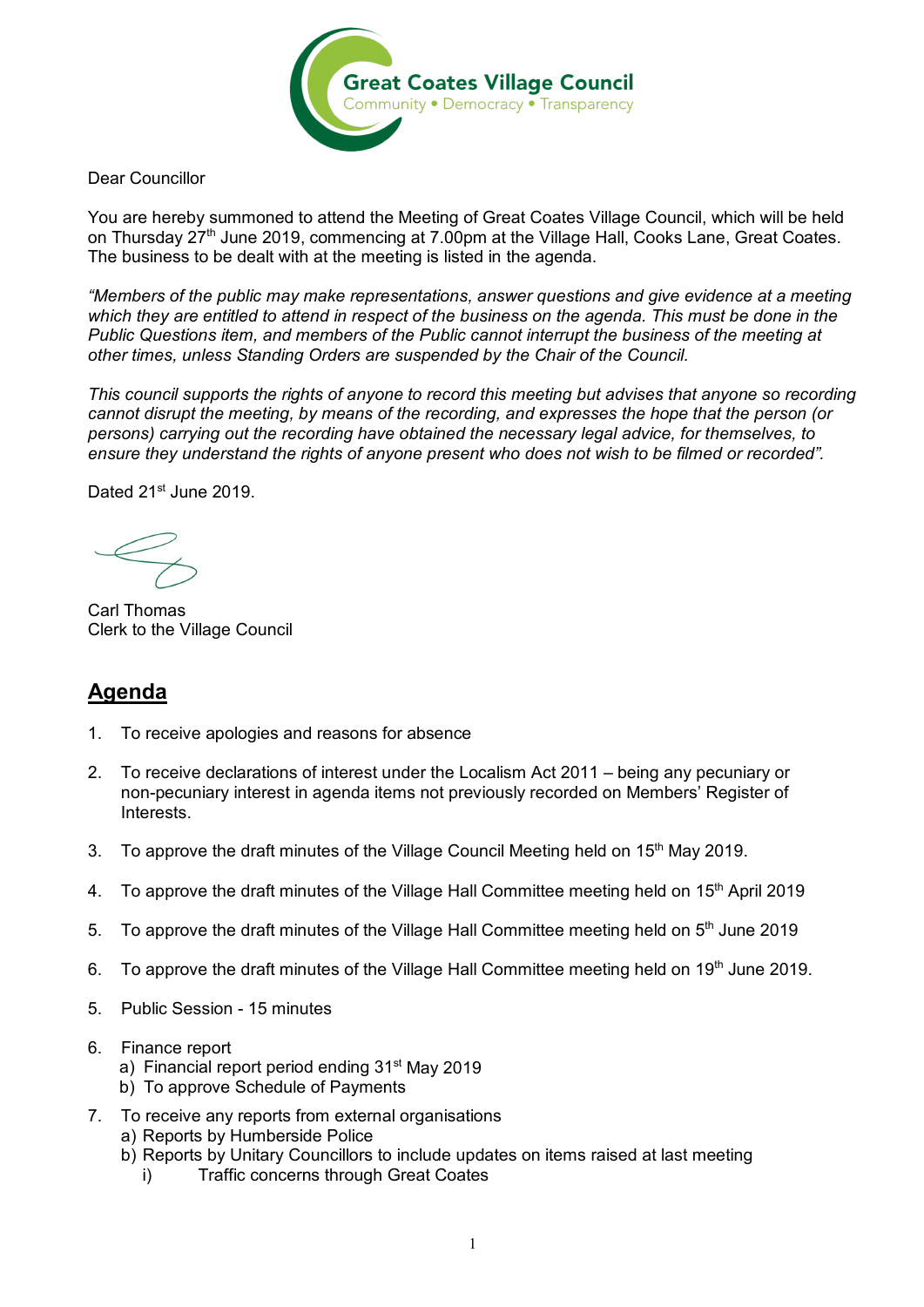

Dear Councillor

You are hereby summoned to attend the Meeting of Great Coates Village Council, which will be held on Thursday 27<sup>th</sup> June 2019, commencing at 7.00pm at the Village Hall, Cooks Lane, Great Coates. The business to be dealt with at the meeting is listed in the agenda.

*"Members of the public may make representations, answer questions and give evidence at a meeting which they are entitled to attend in respect of the business on the agenda. This must be done in the Public Questions item, and members of the Public cannot interrupt the business of the meeting at other times, unless Standing Orders are suspended by the Chair of the Council.* 

*This council supports the rights of anyone to record this meeting but advises that anyone so recording cannot disrupt the meeting, by means of the recording, and expresses the hope that the person (or persons) carrying out the recording have obtained the necessary legal advice, for themselves, to ensure they understand the rights of anyone present who does not wish to be filmed or recorded".*

Dated 21<sup>st</sup> June 2019.

Carl Thomas Clerk to the Village Council

## **Agenda**

- 1. To receive apologies and reasons for absence
- 2. To receive declarations of interest under the Localism Act 2011 being any pecuniary or non-pecuniary interest in agenda items not previously recorded on Members' Register of Interests.
- 3. To approve the draft minutes of the Village Council Meeting held on 15<sup>th</sup> May 2019.
- 4. To approve the draft minutes of the Village Hall Committee meeting held on 15<sup>th</sup> April 2019
- 5. To approve the draft minutes of the Village Hall Committee meeting held on 5<sup>th</sup> June 2019
- 6. To approve the draft minutes of the Village Hall Committee meeting held on 19<sup>th</sup> June 2019.
- 5. Public Session 15 minutes
- 6. Finance report
	- a) Financial report period ending 31<sup>st</sup> May 2019
	- b) To approve Schedule of Payments
- 7. To receive any reports from external organisations a) Reports by Humberside Police
	- b) Reports by Unitary Councillors to include updates on items raised at last meeting
		- i) Traffic concerns through Great Coates